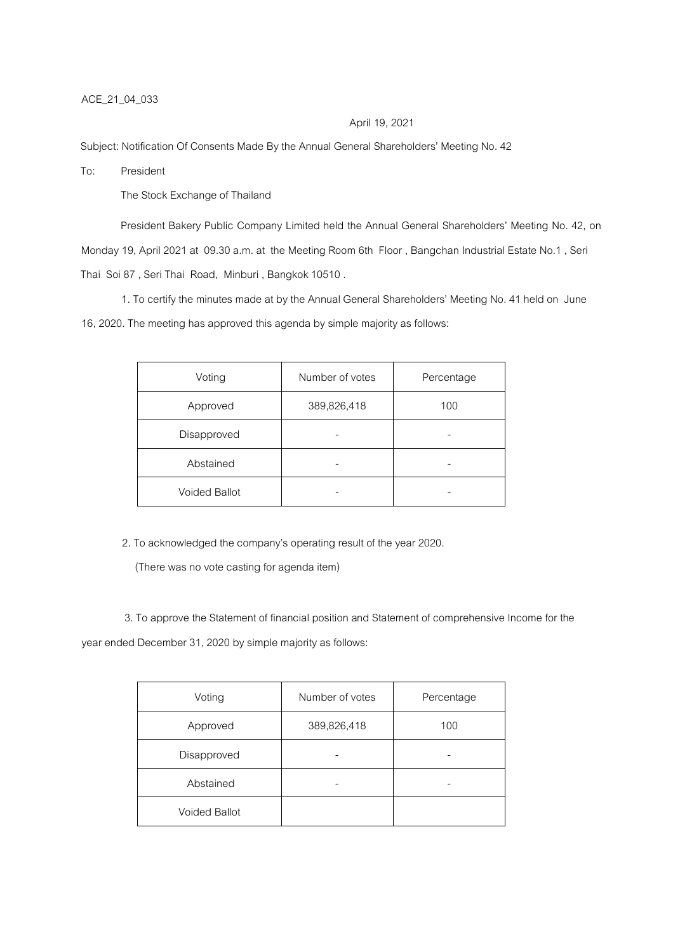## ACE\_21\_04\_033

### April 19, 2021

Subject: Notification Of Consents Made By the Annual General Shareholders' Meeting No. 42

To: President

The Stock Exchange of Thailand

President Bakery Public Company Limited held the Annual General Shareholders' Meeting No. 42, on Monday 19, April 2021 at 09.30 a.m. at the Meeting Room 6th Floor , Bangchan Industrial Estate No.1 , Seri Thai Soi 87 , Seri Thai Road, Minburi , Bangkok 10510 .

1. To certify the minutes made at by the Annual General Shareholders' Meeting No. 41 held on June 16, 2020. The meeting has approved this agenda by simple majority as follows:

| Voting               | Number of votes | Percentage |
|----------------------|-----------------|------------|
| Approved             | 389,826,418     | 100        |
| Disapproved          |                 |            |
| Abstained            |                 |            |
| <b>Voided Ballot</b> |                 |            |

2. To acknowledged the company's operating result of the year 2020.

(There was no vote casting for agenda item)

3. To approve the Statement of financial position and Statement of comprehensive Income for the year ended December 31, 2020 by simple majority as follows:

| Voting               | Number of votes | Percentage |
|----------------------|-----------------|------------|
| Approved             | 389,826,418     | 100        |
| Disapproved          |                 |            |
| Abstained            |                 |            |
| <b>Voided Ballot</b> |                 |            |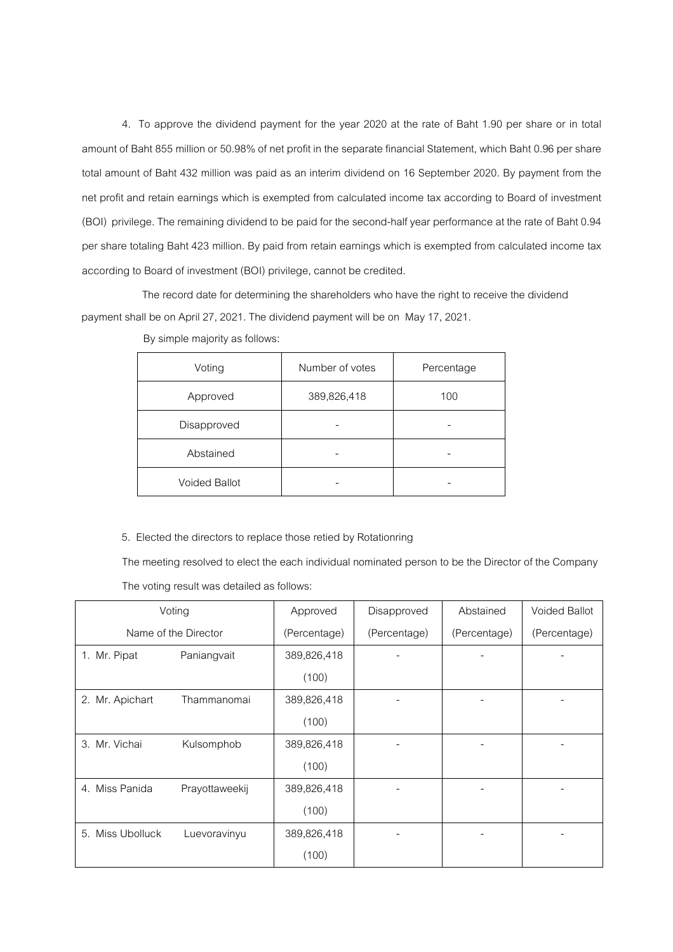4. To approve the dividend payment for the year 2020 at the rate of Baht 1.90 per share or in total amount of Baht 855 million or 50.98% of net profit in the separate financial Statement, which Baht 0.96 per share total amount of Baht 432 million was paid as an interim dividend on 16 September 2020. By payment from the net profit and retain earnings which is exempted from calculated income tax according to Board of investment (BOI) privilege. The remaining dividend to be paid for the second-half year performance at the rate of Baht 0.94 per share totaling Baht 423 million. By paid from retain earnings which is exempted from calculated income tax according to Board of investment (BOI) privilege, cannot be credited.

 The record date for determining the shareholders who have the right to receive the dividend payment shall be on April 27, 2021. The dividend payment will be on May 17, 2021.

| Voting               | Number of votes | Percentage |
|----------------------|-----------------|------------|
| Approved             | 389,826,418     | 100        |
| Disapproved          |                 |            |
| Abstained            |                 |            |
| <b>Voided Ballot</b> |                 |            |

By simple majority as follows:

## 5. Elected the directors to replace those retied by Rotationring

The meeting resolved to elect the each individual nominated person to be the Director of the Company The voting result was detailed as follows:

|                  | Voting               | Approved     | Disapproved  | Abstained    | <b>Voided Ballot</b> |
|------------------|----------------------|--------------|--------------|--------------|----------------------|
|                  | Name of the Director | (Percentage) | (Percentage) | (Percentage) | (Percentage)         |
| 1. Mr. Pipat     | Paniangvait          | 389,826,418  |              |              |                      |
|                  |                      | (100)        |              |              |                      |
| 2. Mr. Apichart  | Thammanomai          | 389,826,418  |              |              |                      |
|                  |                      | (100)        |              |              |                      |
| 3. Mr. Vichai    | Kulsomphob           | 389,826,418  |              |              |                      |
|                  |                      | (100)        |              |              |                      |
| 4. Miss Panida   | Prayottaweekij       | 389,826,418  |              |              |                      |
|                  |                      | (100)        |              |              |                      |
| 5. Miss Ubolluck | Luevoravinyu         | 389,826,418  |              |              |                      |
|                  |                      | (100)        |              |              |                      |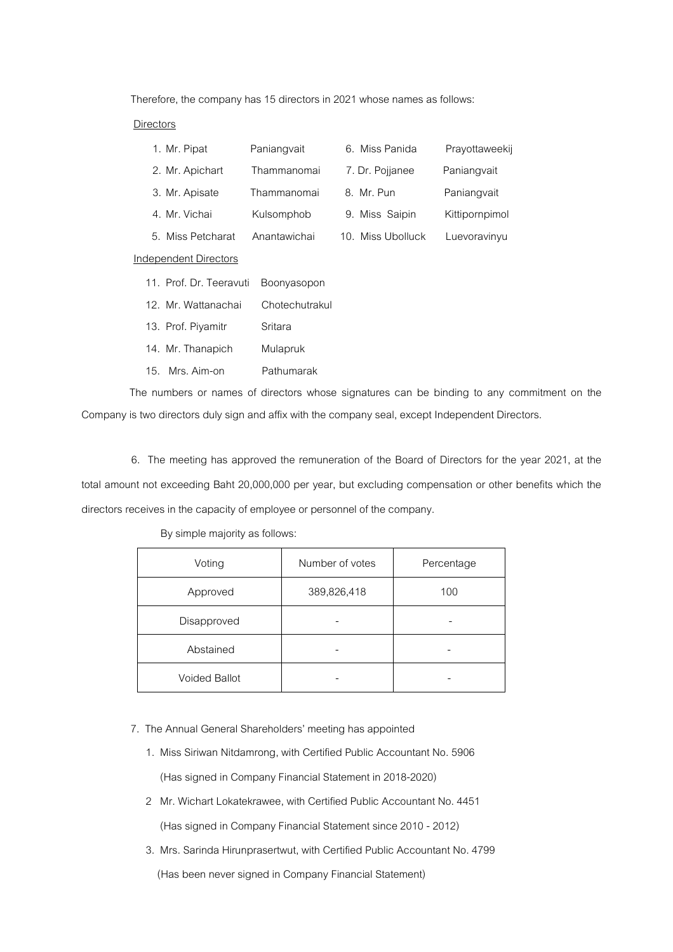Therefore, the company has 15 directors in 2021 whose names as follows:

#### Directors

| Paniangvait                            | 6. Miss Panida                   | Prayottaweekij |
|----------------------------------------|----------------------------------|----------------|
| Thammanomai                            | 7. Dr. Pojjanee                  | Paniangvait    |
| Thammanomai                            | 8. Mr. Pun                       | Paniangvait    |
| Kulsomphob                             | 9. Miss Saipin                   | Kittipornpimol |
| Anantawichai                           | Miss Ubolluck<br>10 <sub>1</sub> | Luevoravinyu   |
|                                        |                                  |                |
| 11. Prof. Dr. Teeravuti<br>Boonyasopon |                                  |                |
| Chotechutrakul                         |                                  |                |
|                                        |                                  |                |

13. Prof. Piyamitr Sritara

- 14. Mr. Thanapich Mulapruk
- 15. Mrs. Aim-on Pathumarak

The numbers or names of directors whose signatures can be binding to any commitment on the Company is two directors duly sign and affix with the company seal, except Independent Directors.

 6. The meeting has approved the remuneration of the Board of Directors for the year 2021, at the total amount not exceeding Baht 20,000,000 per year, but excluding compensation or other benefits which the directors receives in the capacity of employee or personnel of the company.

# By simple majority as follows:

| Voting               | Number of votes | Percentage |
|----------------------|-----------------|------------|
| Approved             | 389,826,418     | 100        |
| Disapproved          |                 |            |
| Abstained            |                 |            |
| <b>Voided Ballot</b> |                 |            |

### 7. The Annual General Shareholders' meeting has appointed

- 1. Miss Siriwan Nitdamrong, with Certified Public Accountant No. 5906 (Has signed in Company Financial Statement in 2018-2020)
- 2 Mr. Wichart Lokatekrawee, with Certified Public Accountant No. 4451 (Has signed in Company Financial Statement since 2010 - 2012)
- 3. Mrs. Sarinda Hirunprasertwut, with Certified Public Accountant No. 4799 (Has been never signed in Company Financial Statement)